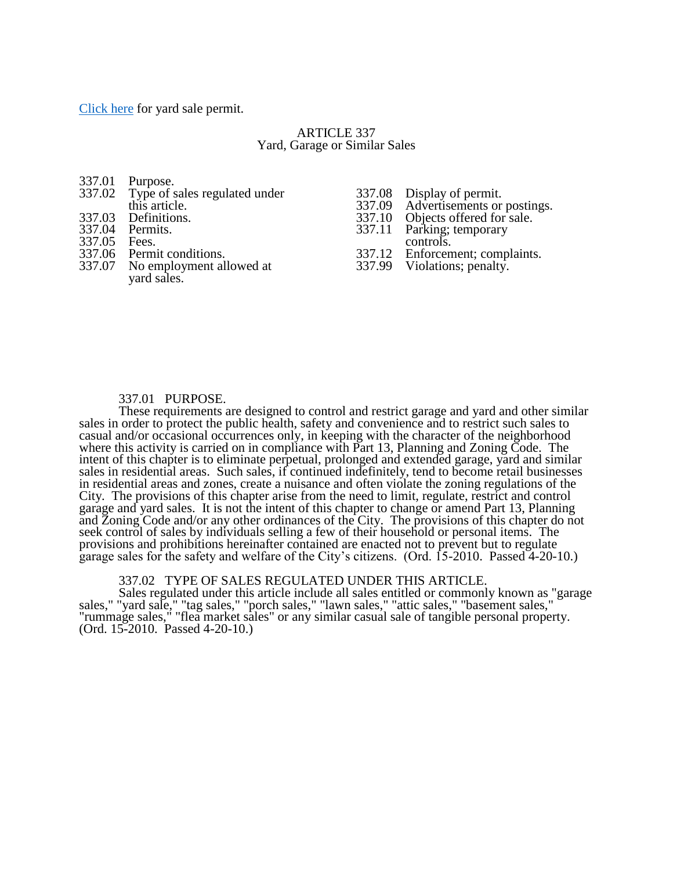[Click here](http://www.yorkcity.org/files/YARD-SALE-APPLICATION.pdf) for yard sale permit.

# ARTICLE 337 Yard, Garage or Similar Sales

|              | 337.01 Purpose.                      |                                    |
|--------------|--------------------------------------|------------------------------------|
|              | 337.02 Type of sales regulated under | 337.08 Display of permit.          |
|              | this article.                        | 337.09 Advertisements or postings. |
|              | 337.03 Definitions.                  | 337.10 Objects offered for sale.   |
|              | 337.04 Permits.                      | 337.11 Parking; temporary          |
| 337.05 Fees. |                                      | controls.                          |
|              | 337.06 Permit conditions.            | 337.12 Enforcement; complaints.    |
|              | 337.07 No employment allowed at      | 337.99 Violations; penalty.        |
|              | vard sales.                          |                                    |
|              |                                      |                                    |

## 337.01 PURPOSE.

These requirements are designed to control and restrict garage and yard and other similar sales in order to protect the public health, safety and convenience and to restrict such sales to casual and/or occasional occurrences only, in keeping with the character of the neighborhood where this activity is carried on in compliance with Part 13, Planning and Zoning Code. The intent of this chapter is to eliminate perpetual, prolonged and extended garage, yard and similar sales in residential areas. Such sales, if continued indefinitely, tend to become retail businesses in residential areas and zones, create a nuisance and often violate the zoning regulations of the City. The provisions of this chapter arise from the need to limit, regulate, restrict and control garage and yard sales. It is not the intent of this chapter to change or amend Part 13, Planning and Zoning Code and/or any other ordinances of the City. The provisions of this chapter do not seek control of sales by individuals selling a few of their household or personal items. The provisions and prohibitions hereinafter contained are enacted not to prevent but to regulate garage sales for the safety and welfare of the City's citizens. (Ord. 15-2010. Passed 4-20-10.)

## 337.02 TYPE OF SALES REGULATED UNDER THIS ARTICLE.

Sales regulated under this article include all sales entitled or commonly known as "garage sales," "yard sale," "tag sales," "porch sales," "lawn sales," "attic sales," "basement sales," "rummage sales," "flea market sales" or any similar casual sale of tangible personal property. (Ord. 15-2010. Passed 4-20-10.)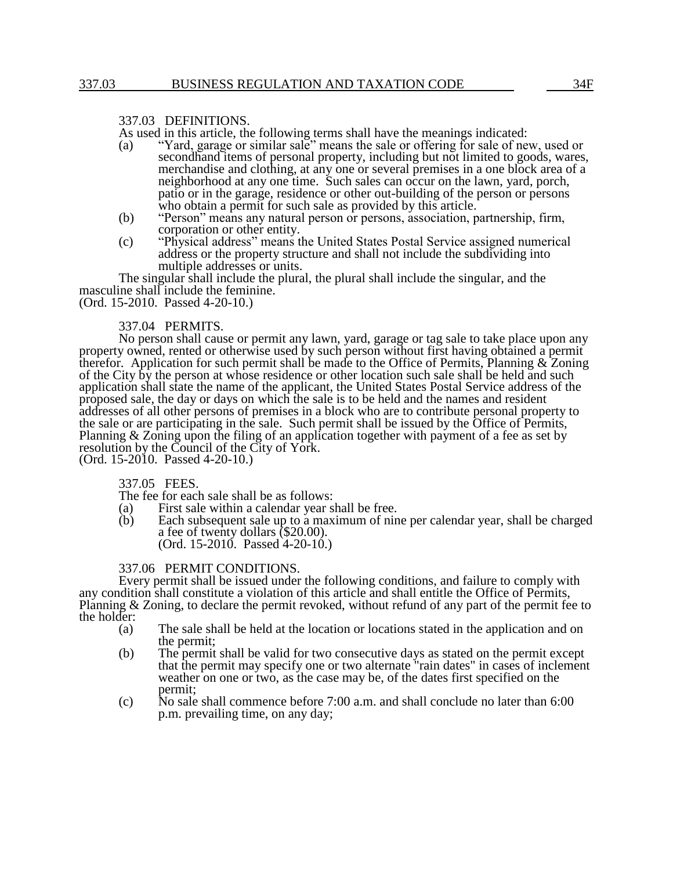### 337.03 DEFINITIONS.

As used in this article, the following terms shall have the meanings indicated:<br>(a) "Yard, garage or similar sale" means the sale or offering for sale of ne

- "Yard, garage or similar sale" means the sale or offering for sale of new, used or secondhand items of personal property, including but not limited to goods, wares, merchandise and clothing, at any one or several premises in a one block area of a neighborhood at any one time. Such sales can occur on the lawn, yard, porch, patio or in the garage, residence or other out-building of the person or persons who obtain a permit for such sale as provided by this article.
- (b) "Person" means any natural person or persons, association, partnership, firm, corporation or other entity.
- (c) "Physical address" means the United States Postal Service assigned numerical address or the property structure and shall not include the subdividing into multiple addresses or units.

The singular shall include the plural, the plural shall include the singular, and the masculine shall include the feminine.

(Ord. 15-2010. Passed 4-20-10.)

#### 337.04 PERMITS.

No person shall cause or permit any lawn, yard, garage or tag sale to take place upon any property owned, rented or otherwise used by such person without first having obtained a permit therefor. Application for such permit shall be made to the Office of Permits, Planning & Zoning of the City by the person at whose residence or other location such sale shall be held and such application shall state the name of the applicant, the United States Postal Service address of the proposed sale, the day or days on which the sale is to be held and the names and resident addresses of all other persons of premises in a block who are to contribute personal property to the sale or are participating in the sale. Such permit shall be issued by the Office of Permits, Planning & Zoning upon the filing of an application together with payment of a fee as set by resolution by the Council of the City of York. (Ord. 15-2010. Passed 4-20-10.)

337.05 FEES.

The fee for each sale shall be as follows:

- (a) First sale within a calendar year shall be free.<br>(b) Each subsequent sale up to a maximum of nin
- Each subsequent sale up to a maximum of nine per calendar year, shall be charged a fee of twenty dollars (\$20.00).  $(Ord. 15-2010.$  Passed  $4-20-10.$ )

#### 337.06 PERMIT CONDITIONS.

Every permit shall be issued under the following conditions, and failure to comply with any condition shall constitute a violation of this article and shall entitle the Office of Permits, Planning & Zoning, to declare the permit revoked, without refund of any part of the permit fee to the holder:

- (a) The sale shall be held at the location or locations stated in the application and on the permit;
- (b) The permit shall be valid for two consecutive days as stated on the permit except that the permit may specify one or two alternate "rain dates" in cases of inclement weather on one or two, as the case may be, of the dates first specified on the permit;
- (c) No sale shall commence before 7:00 a.m. and shall conclude no later than 6:00 p.m. prevailing time, on any day;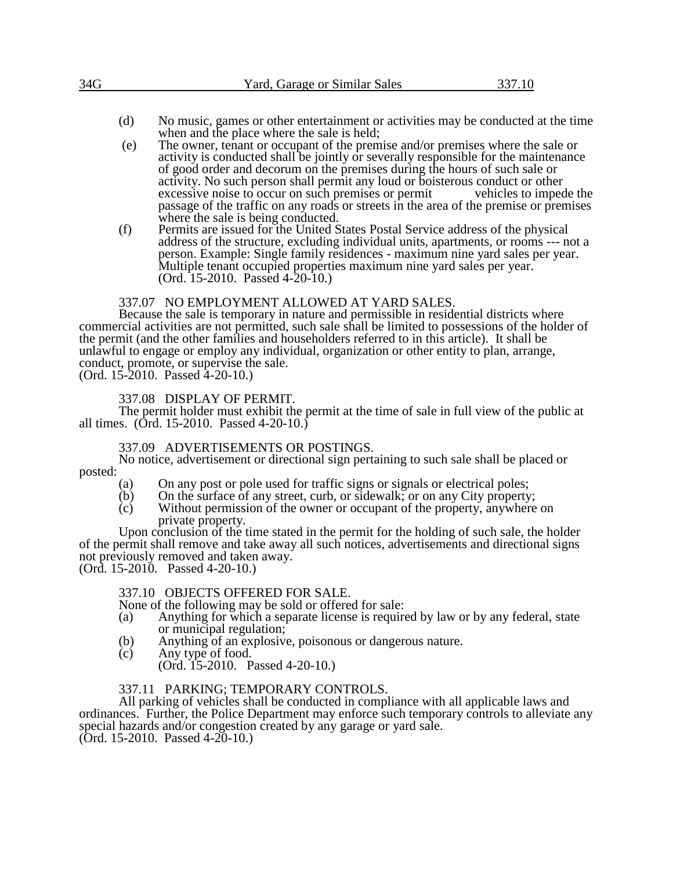| 34G | Yard, Garage or Similar Sales |  |
|-----|-------------------------------|--|
|     |                               |  |

- (d) No music, games or other entertainment or activities may be conducted at the time when and the place where the sale is held;
- (e) The owner, tenant or occupant of the premise and/or premises where the sale or activity is conducted shall be jointly or severally responsible for the maintenance of good order and decorum on the premises during the hours of such sale or activity. No such person shall permit any loud or boisterous conduct or other excessive noise to occur on such premises or permit vehicles to impede the excessive noise to occur on such premises or permit passage of the traffic on any roads or streets in the area of the premise or premises where the sale is being conducted.
- (f) Permits are issued for the United States Postal Service address of the physical address of the structure, excluding individual units, apartments, or rooms --- not a person. Example: Single family residences - maximum nine yard sales per year. Multiple tenant occupied properties maximum nine yard sales per year. (Ord. 15-2010. Passed 4-20-10.)

# 337.07 NO EMPLOYMENT ALLOWED AT YARD SALES.

Because the sale is temporary in nature and permissible in residential districts where commercial activities are not permitted, such sale shall be limited to possessions of the holder of the permit (and the other families and householders referred to in this article). It shall be unlawful to engage or employ any individual, organization or other entity to plan, arrange, conduct, promote, or supervise the sale.

(Ord. 15-2010. Passed 4-20-10.)

# 337.08 DISPLAY OF PERMIT.

The permit holder must exhibit the permit at the time of sale in full view of the public at all times. (Ord. 15-2010. Passed 4-20-10.)

### 337.09 ADVERTISEMENTS OR POSTINGS.

No notice, advertisement or directional sign pertaining to such sale shall be placed or posted:

- (a) On any post or pole used for traffic signs or signals or electrical poles;<br>(b) On the surface of any street, curb, or sidewalk; or on any City property
- $(b)$  On the surface of any street, curb, or sidewalk; or on any City property;<br>(c) Without permission of the owner or occupant of the property, anywhere
- Without permission of the owner or occupant of the property, anywhere on private property.

Upon conclusion of the time stated in the permit for the holding of such sale, the holder of the permit shall remove and take away all such notices, advertisements and directional signs not previously removed and taken away.

(Ord. 15-2010. Passed 4-20-10.)

### 337.10 OBJECTS OFFERED FOR SALE.

None of the following may be sold or offered for sale:

- (a) Anything for which a separate license is required by law or by any federal, state or municipal regulation;
- (b) Anything of an explosive, poisonous or dangerous nature.<br>(c) Any type of food.
- Any type of food.
	- (Ord. 15-2010. Passed 4-20-10.)

# 337.11 PARKING; TEMPORARY CONTROLS.

All parking of vehicles shall be conducted in compliance with all applicable laws and ordinances. Further, the Police Department may enforce such temporary controls to alleviate any special hazards and/or congestion created by any garage or yard sale. (Ord. 15-2010. Passed 4-20-10.)